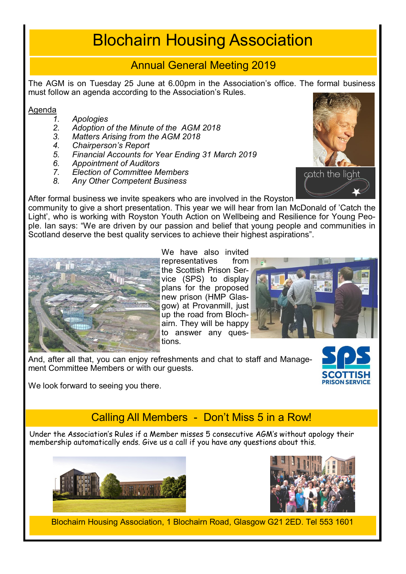# Blochairn Housing Association

#### Annual General Meeting 2019

The AGM is on Tuesday 25 June at 6.00pm in the Association's office. The formal business must follow an agenda according to the Association's Rules.

# Agenda<br>1.

- *1. Apologies*
- *2. Adoption of the Minute of the AGM 2018*
- *3. Matters Arising from the AGM 2018*
- *4. Chairperson's Report*
- *5. Financial Accounts for Year Ending 31 March 2019*
- *6. Appointment of Auditors*
- *7. Election of Committee Members*
- *8. Any Other Competent Business*



After formal business we invite speakers who are involved in the Royston

community to give a short presentation. This year we will hear from Ian McDonald of 'Catch the Light', who is working with Royston Youth Action on Wellbeing and Resilience for Young People. Ian says: "We are driven by our passion and belief that young people and communities in Scotland deserve the best quality services to achieve their highest aspirations".



We have also invited representatives from the Scottish Prison Service (SPS) to display plans for the proposed new prison (HMP Glasgow) at Provanmill, just up the road from Blochairn. They will be happy to answer any questions.



And, after all that, you can enjoy refreshments and chat to staff and Management Committee Members or with our guests.



We look forward to seeing you there.

## Calling All Members - Don't Miss 5 in a Row!

Under the Association's Rules if a Member misses 5 consecutive AGM's without apology their membership automatically ends. Give us a call if you have any questions about this.





Blochairn Housing Association, 1 Blochairn Road, Glasgow G21 2ED. Tel 553 1601